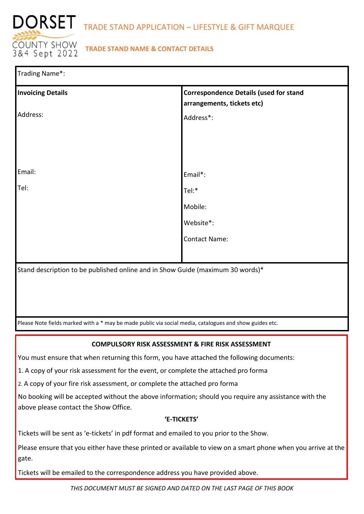

# **TRADE STAND NAME & CONTACT DETAILS**

| Trading Name*:                                                                                          |                                                                                |  |  |  |
|---------------------------------------------------------------------------------------------------------|--------------------------------------------------------------------------------|--|--|--|
| <b>Invoicing Details</b>                                                                                | <b>Correspondence Details (used for stand</b><br>arrangements, tickets etc)    |  |  |  |
| Address:                                                                                                | Address*:                                                                      |  |  |  |
|                                                                                                         |                                                                                |  |  |  |
|                                                                                                         |                                                                                |  |  |  |
|                                                                                                         |                                                                                |  |  |  |
| Email:                                                                                                  | Email*:                                                                        |  |  |  |
| Tel:                                                                                                    | Tel:*                                                                          |  |  |  |
|                                                                                                         | Mobile:                                                                        |  |  |  |
|                                                                                                         | Website*:                                                                      |  |  |  |
|                                                                                                         | <b>Contact Name:</b>                                                           |  |  |  |
|                                                                                                         |                                                                                |  |  |  |
|                                                                                                         | Stand description to be published online and in Show Guide (maximum 30 words)* |  |  |  |
|                                                                                                         |                                                                                |  |  |  |
|                                                                                                         |                                                                                |  |  |  |
|                                                                                                         |                                                                                |  |  |  |
| Please Note fields marked with a * may be made public via social media, catalogues and show guides etc. |                                                                                |  |  |  |

## **COMPULSORY RISK ASSESSMENT & FIRE RISK ASSESSMENT**

You must ensure that when returning this form, you have attached the following documents:

1. A copy of your risk assessment for the event, or complete the attached pro forma

2. A copy of your fire risk assessment, or complete the attached pro forma

No booking will be accepted without the above information; should you require any assistance with the above please contact the Show Office.

### **'E-TICKETS'**

Tickets will be sent as 'e-tickets' in pdf format and emailed to you prior to the Show.

Please ensure that you either have these printed or available to view on a smart phone when you arrive at the gate.

Tickets will be emailed to the correspondence address you have provided above.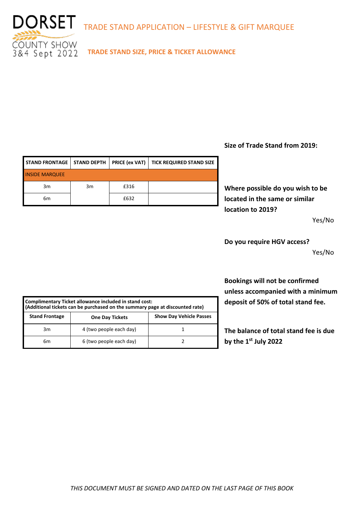

**TRADE STAND SIZE, PRICE & TICKET ALLOWANCE**

## **Size of Trade Stand from 2019:**

**Where possible do you wish to be located in the same or similar location to 2019?** 

Yes/No

**Do you require HGV access?** Yes/No

**Bookings will not be confirmed unless accompanied with a minimum deposit of 50% of total stand fee.**

**The balance of total stand fee is due by the 1st July 2022** 

|                       |    |      | STAND FRONTAGE   STAND DEPTH   PRICE (ex VAT)   TICK REQUIRED STAND SIZE |
|-----------------------|----|------|--------------------------------------------------------------------------|
| <b>INSIDE MARQUEE</b> |    |      |                                                                          |
| 3m                    | 3m | £316 |                                                                          |
| 6m                    |    | £632 |                                                                          |
|                       |    |      |                                                                          |

| Complimentary Ticket allowance included in stand cost:<br>(Additional tickets can be purchased on the summary page at discounted rate) |                         |                                |  |  |
|----------------------------------------------------------------------------------------------------------------------------------------|-------------------------|--------------------------------|--|--|
| <b>Stand Frontage</b>                                                                                                                  | <b>One Day Tickets</b>  | <b>Show Day Vehicle Passes</b> |  |  |
| 3m                                                                                                                                     | 4 (two people each day) |                                |  |  |
| 6m                                                                                                                                     | 6 (two people each day) |                                |  |  |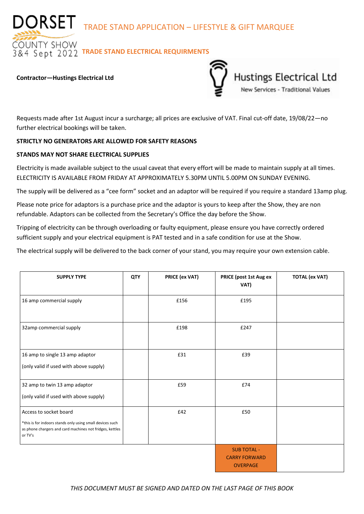DORSET TRADE STAND APPLICATION – LIFESTYLE & GIFT MARQUEE

**DUNTY SHOW**  $\overline{84}$  Sept 2022 TRADE STAND ELECTRICAL REQUIRMENTS

#### **Contractor—Hustings Electrical Ltd**



Requests made after 1st August incur a surcharge; all prices are exclusive of VAT. Final cut-off date, 19/08/22—no further electrical bookings will be taken.

### **STRICTLY NO GENERATORS ARE ALLOWED FOR SAFETY REASONS**

### **STANDS MAY NOT SHARE ELECTRICAL SUPPLIES**

Electricity is made available subject to the usual caveat that every effort will be made to maintain supply at all times. ELECTRICITY IS AVAILABLE FROM FRIDAY AT APPROXIMATELY 5.30PM UNTIL 5.00PM ON SUNDAY EVENING.

The supply will be delivered as a "cee form" socket and an adaptor will be required if you require a standard 13amp plug.

Please note price for adaptors is a purchase price and the adaptor is yours to keep after the Show, they are non refundable. Adaptors can be collected from the Secretary's Office the day before the Show.

Tripping of electricity can be through overloading or faulty equipment, please ensure you have correctly ordered sufficient supply and your electrical equipment is PAT tested and in a safe condition for use at the Show.

The electrical supply will be delivered to the back corner of your stand, you may require your own extension cable.

| <b>SUPPLY TYPE</b>                                                                                                                                         | QTY | PRICE (ex VAT) | PRICE (post 1st Aug ex<br>VAT)                                | <b>TOTAL (ex VAT)</b> |
|------------------------------------------------------------------------------------------------------------------------------------------------------------|-----|----------------|---------------------------------------------------------------|-----------------------|
| 16 amp commercial supply                                                                                                                                   |     | £156           | £195                                                          |                       |
| 32amp commercial supply                                                                                                                                    |     | £198           | £247                                                          |                       |
| 16 amp to single 13 amp adaptor<br>(only valid if used with above supply)                                                                                  |     | £31            | £39                                                           |                       |
| 32 amp to twin 13 amp adaptor<br>(only valid if used with above supply)                                                                                    |     | £59            | £74                                                           |                       |
| Access to socket board<br>*this is for indoors stands only using small devices such<br>as phone chargers and card machines not fridges, kettles<br>or TV's |     | £42            | £50                                                           |                       |
|                                                                                                                                                            |     |                | <b>SUB TOTAL -</b><br><b>CARRY FORWARD</b><br><b>OVERPAGE</b> |                       |